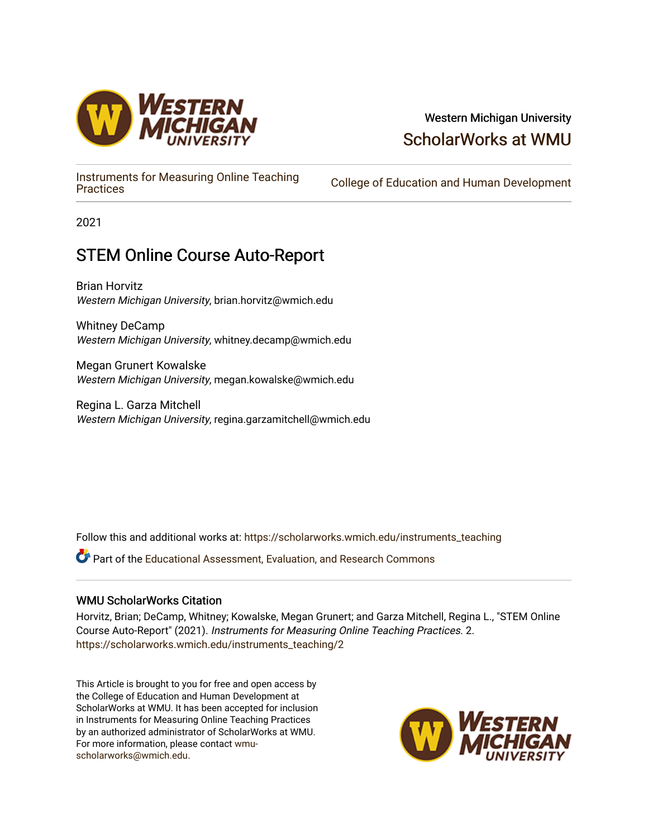

## Western Michigan University [ScholarWorks at WMU](https://scholarworks.wmich.edu/)

[Instruments for Measuring Online Teaching](https://scholarworks.wmich.edu/instruments_teaching) 

College of Education and Human Development

2021

# STEM Online Course Auto-Report

Brian Horvitz Western Michigan University, brian.horvitz@wmich.edu

Whitney DeCamp Western Michigan University, whitney.decamp@wmich.edu

Megan Grunert Kowalske Western Michigan University, megan.kowalske@wmich.edu

Regina L. Garza Mitchell Western Michigan University, regina.garzamitchell@wmich.edu

Follow this and additional works at: [https://scholarworks.wmich.edu/instruments\\_teaching](https://scholarworks.wmich.edu/instruments_teaching?utm_source=scholarworks.wmich.edu%2Finstruments_teaching%2F2&utm_medium=PDF&utm_campaign=PDFCoverPages)

Part of the [Educational Assessment, Evaluation, and Research Commons](http://network.bepress.com/hgg/discipline/796?utm_source=scholarworks.wmich.edu%2Finstruments_teaching%2F2&utm_medium=PDF&utm_campaign=PDFCoverPages)

#### WMU ScholarWorks Citation

Horvitz, Brian; DeCamp, Whitney; Kowalske, Megan Grunert; and Garza Mitchell, Regina L., "STEM Online Course Auto-Report" (2021). Instruments for Measuring Online Teaching Practices. 2. [https://scholarworks.wmich.edu/instruments\\_teaching/2](https://scholarworks.wmich.edu/instruments_teaching/2?utm_source=scholarworks.wmich.edu%2Finstruments_teaching%2F2&utm_medium=PDF&utm_campaign=PDFCoverPages)

This Article is brought to you for free and open access by the College of Education and Human Development at ScholarWorks at WMU. It has been accepted for inclusion in Instruments for Measuring Online Teaching Practices by an authorized administrator of ScholarWorks at WMU. For more information, please contact [wmu](mailto:wmu-scholarworks@wmich.edu)[scholarworks@wmich.edu.](mailto:wmu-scholarworks@wmich.edu)

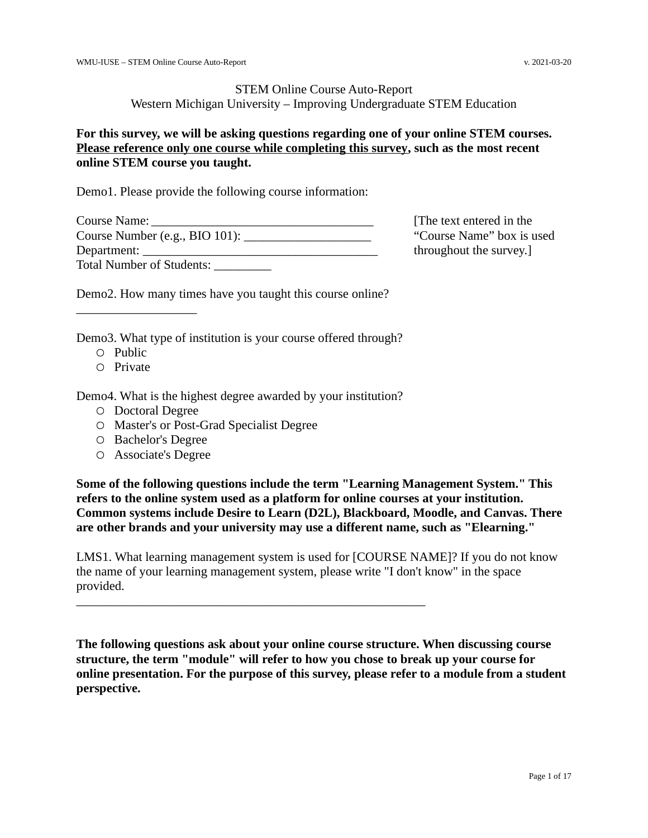#### STEM Online Course Auto-Report Western Michigan University – Improving Undergraduate STEM Education

#### **For this survey, we will be asking questions regarding one of your online STEM courses. Please reference only one course while completing this survey, such as the most recent online STEM course you taught.**

Demo1. Please provide the following course information:

| Course Name:                          |
|---------------------------------------|
| Course Number (e.g., BIO 101): ______ |
|                                       |
| Total Number of Students:             |

[The text entered in the "Course Name" box is used throughout the survey.]

Demo2. How many times have you taught this course online?

Demo3. What type of institution is your course offered through?

○ Public

\_\_\_\_\_\_\_\_\_\_\_\_\_\_\_\_\_\_\_

○ Private

Demo4. What is the highest degree awarded by your institution?

\_\_\_\_\_\_\_\_\_\_\_\_\_\_\_\_\_\_\_\_\_\_\_\_\_\_\_\_\_\_\_\_\_\_\_\_\_\_\_\_\_\_\_\_\_\_\_\_\_\_\_\_\_\_\_

- Doctoral Degree
- Master's or Post-Grad Specialist Degree
- Bachelor's Degree
- Associate's Degree

**Some of the following questions include the term "Learning Management System." This refers to the online system used as a platform for online courses at your institution. Common systems include Desire to Learn (D2L), Blackboard, Moodle, and Canvas. There are other brands and your university may use a different name, such as "Elearning."**

LMS1. What learning management system is used for [COURSE NAME]? If you do not know the name of your learning management system, please write "I don't know" in the space provided.

**The following questions ask about your online course structure. When discussing course structure, the term "module" will refer to how you chose to break up your course for online presentation. For the purpose of this survey, please refer to a module from a student perspective.**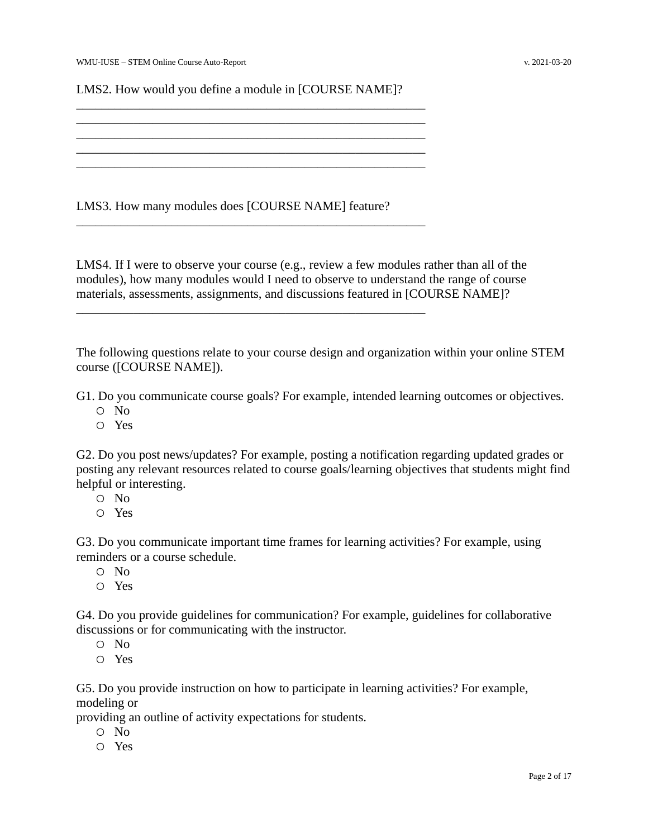LMS2. How would you define a module in [COURSE NAME]?

\_\_\_\_\_\_\_\_\_\_\_\_\_\_\_\_\_\_\_\_\_\_\_\_\_\_\_\_\_\_\_\_\_\_\_\_\_\_\_\_\_\_\_\_\_\_\_\_\_\_\_\_\_\_\_ \_\_\_\_\_\_\_\_\_\_\_\_\_\_\_\_\_\_\_\_\_\_\_\_\_\_\_\_\_\_\_\_\_\_\_\_\_\_\_\_\_\_\_\_\_\_\_\_\_\_\_\_\_\_\_

 $\frac{1}{2}$  ,  $\frac{1}{2}$  ,  $\frac{1}{2}$  ,  $\frac{1}{2}$  ,  $\frac{1}{2}$  ,  $\frac{1}{2}$  ,  $\frac{1}{2}$  ,  $\frac{1}{2}$  ,  $\frac{1}{2}$  ,  $\frac{1}{2}$  ,  $\frac{1}{2}$  ,  $\frac{1}{2}$  ,  $\frac{1}{2}$  ,  $\frac{1}{2}$  ,  $\frac{1}{2}$  ,  $\frac{1}{2}$  ,  $\frac{1}{2}$  ,  $\frac{1}{2}$  ,  $\frac{1$ \_\_\_\_\_\_\_\_\_\_\_\_\_\_\_\_\_\_\_\_\_\_\_\_\_\_\_\_\_\_\_\_\_\_\_\_\_\_\_\_\_\_\_\_\_\_\_\_\_\_\_\_\_\_\_

 $\frac{1}{2}$  ,  $\frac{1}{2}$  ,  $\frac{1}{2}$  ,  $\frac{1}{2}$  ,  $\frac{1}{2}$  ,  $\frac{1}{2}$  ,  $\frac{1}{2}$  ,  $\frac{1}{2}$  ,  $\frac{1}{2}$  ,  $\frac{1}{2}$  ,  $\frac{1}{2}$  ,  $\frac{1}{2}$  ,  $\frac{1}{2}$  ,  $\frac{1}{2}$  ,  $\frac{1}{2}$  ,  $\frac{1}{2}$  ,  $\frac{1}{2}$  ,  $\frac{1}{2}$  ,  $\frac{1$ 

\_\_\_\_\_\_\_\_\_\_\_\_\_\_\_\_\_\_\_\_\_\_\_\_\_\_\_\_\_\_\_\_\_\_\_\_\_\_\_\_\_\_\_\_\_\_\_\_\_\_\_\_\_\_\_

LMS3. How many modules does [COURSE NAME] feature?

LMS4. If I were to observe your course (e.g., review a few modules rather than all of the modules), how many modules would I need to observe to understand the range of course materials, assessments, assignments, and discussions featured in [COURSE NAME]?

The following questions relate to your course design and organization within your online STEM course ([COURSE NAME]).

G1. Do you communicate course goals? For example, intended learning outcomes or objectives.

- No
- Yes

G2. Do you post news/updates? For example, posting a notification regarding updated grades or posting any relevant resources related to course goals/learning objectives that students might find helpful or interesting.

- No
- Yes

G3. Do you communicate important time frames for learning activities? For example, using reminders or a course schedule.

- No
- Yes

G4. Do you provide guidelines for communication? For example, guidelines for collaborative discussions or for communicating with the instructor.

- No
- Yes

G5. Do you provide instruction on how to participate in learning activities? For example, modeling or

providing an outline of activity expectations for students.

- No
- Yes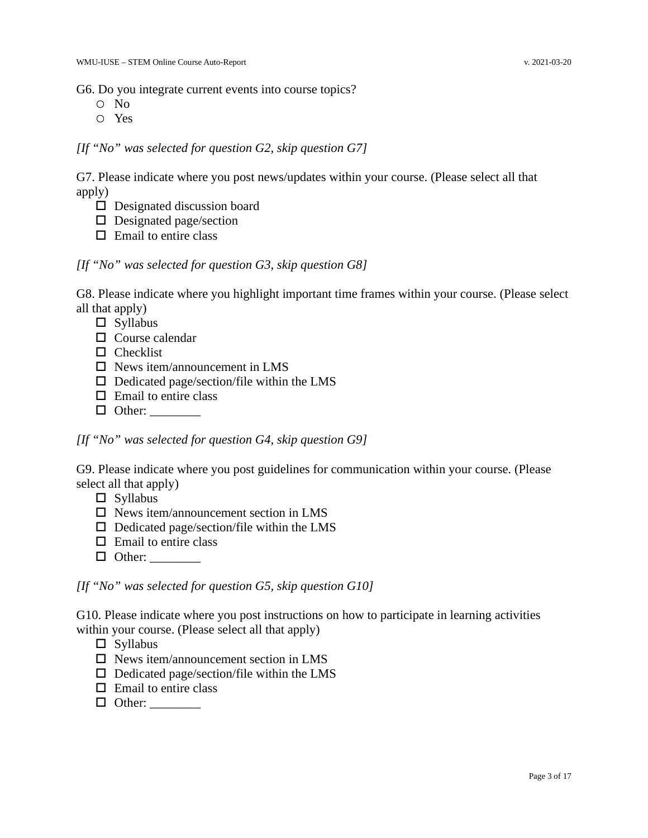G6. Do you integrate current events into course topics?

- No
- Yes

*[If "No" was selected for question G2, skip question G7]*

G7. Please indicate where you post news/updates within your course. (Please select all that apply)

- □ Designated discussion board
- □ Designated page/section
- $\Box$  Email to entire class

#### *[If "No" was selected for question G3, skip question G8]*

G8. Please indicate where you highlight important time frames within your course. (Please select all that apply)

- $\square$  Syllabus
- □ Course calendar
- $\Box$  Checklist
- □ News item/announcement in LMS
- $\Box$  Dedicated page/section/file within the LMS
- $\Box$  Email to entire class
- □ Other: \_\_\_\_\_\_\_\_

*[If "No" was selected for question G4, skip question G9]*

G9. Please indicate where you post guidelines for communication within your course. (Please select all that apply)

- $\square$  Syllabus
- $\square$  News item/announcement section in LMS
- $\Box$  Dedicated page/section/file within the LMS
- $\Box$  Email to entire class
- $\Box$  Other:

*[If "No" was selected for question G5, skip question G10]*

G10. Please indicate where you post instructions on how to participate in learning activities within your course. (Please select all that apply)

- □ Syllabus
- $\square$  News item/announcement section in LMS
- $\Box$  Dedicated page/section/file within the LMS
- $\Box$  Email to entire class
- $\Box$  Other: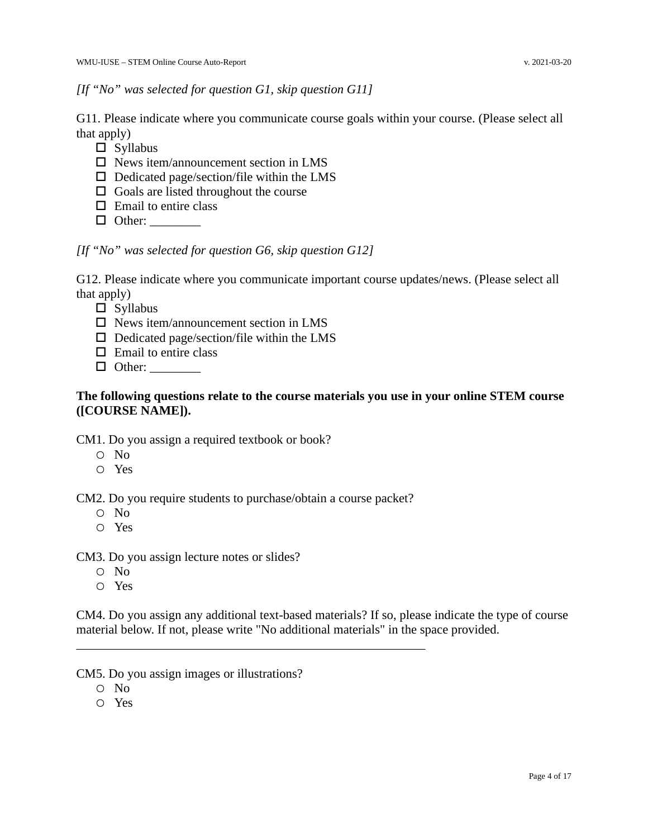#### *[If "No" was selected for question G1, skip question G11]*

G11. Please indicate where you communicate course goals within your course. (Please select all that apply)

- □ Syllabus
- $\square$  News item/announcement section in LMS
- $\Box$  Dedicated page/section/file within the LMS
- $\Box$  Goals are listed throughout the course
- $\Box$  Email to entire class
- □ Other: \_\_\_\_\_\_\_\_

*[If "No" was selected for question G6, skip question G12]*

G12. Please indicate where you communicate important course updates/news. (Please select all that apply)

□ Syllabus

- $\square$  News item/announcement section in LMS
- $\Box$  Dedicated page/section/file within the LMS
- $\Box$  Email to entire class
- □ Other: \_\_\_\_\_\_\_\_

#### **The following questions relate to the course materials you use in your online STEM course ([COURSE NAME]).**

CM1. Do you assign a required textbook or book?

- No
- Yes

CM2. Do you require students to purchase/obtain a course packet?

\_\_\_\_\_\_\_\_\_\_\_\_\_\_\_\_\_\_\_\_\_\_\_\_\_\_\_\_\_\_\_\_\_\_\_\_\_\_\_\_\_\_\_\_\_\_\_\_\_\_\_\_\_\_\_

- No
- Yes

CM3. Do you assign lecture notes or slides?

- No
- Yes

CM4. Do you assign any additional text-based materials? If so, please indicate the type of course material below. If not, please write "No additional materials" in the space provided.

CM5. Do you assign images or illustrations?

- No
- Yes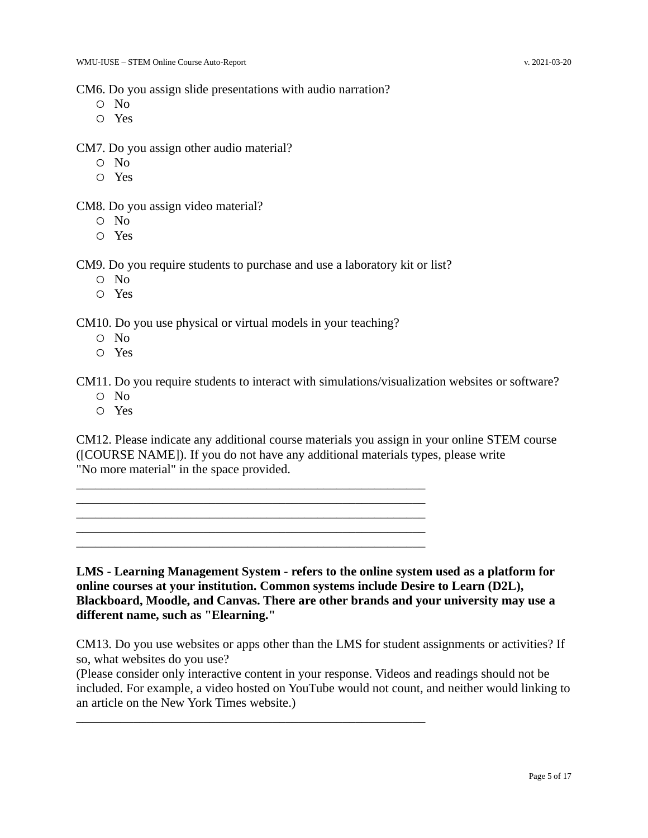CM6. Do you assign slide presentations with audio narration?

- No
- Yes

CM7. Do you assign other audio material?

- No
- Yes

CM8. Do you assign video material?

- No
- Yes

CM9. Do you require students to purchase and use a laboratory kit or list?

- No
- Yes

CM10. Do you use physical or virtual models in your teaching?

\_\_\_\_\_\_\_\_\_\_\_\_\_\_\_\_\_\_\_\_\_\_\_\_\_\_\_\_\_\_\_\_\_\_\_\_\_\_\_\_\_\_\_\_\_\_\_\_\_\_\_\_\_\_\_ \_\_\_\_\_\_\_\_\_\_\_\_\_\_\_\_\_\_\_\_\_\_\_\_\_\_\_\_\_\_\_\_\_\_\_\_\_\_\_\_\_\_\_\_\_\_\_\_\_\_\_\_\_\_\_  $\frac{1}{2}$  ,  $\frac{1}{2}$  ,  $\frac{1}{2}$  ,  $\frac{1}{2}$  ,  $\frac{1}{2}$  ,  $\frac{1}{2}$  ,  $\frac{1}{2}$  ,  $\frac{1}{2}$  ,  $\frac{1}{2}$  ,  $\frac{1}{2}$  ,  $\frac{1}{2}$  ,  $\frac{1}{2}$  ,  $\frac{1}{2}$  ,  $\frac{1}{2}$  ,  $\frac{1}{2}$  ,  $\frac{1}{2}$  ,  $\frac{1}{2}$  ,  $\frac{1}{2}$  ,  $\frac{1$ \_\_\_\_\_\_\_\_\_\_\_\_\_\_\_\_\_\_\_\_\_\_\_\_\_\_\_\_\_\_\_\_\_\_\_\_\_\_\_\_\_\_\_\_\_\_\_\_\_\_\_\_\_\_\_ \_\_\_\_\_\_\_\_\_\_\_\_\_\_\_\_\_\_\_\_\_\_\_\_\_\_\_\_\_\_\_\_\_\_\_\_\_\_\_\_\_\_\_\_\_\_\_\_\_\_\_\_\_\_\_

\_\_\_\_\_\_\_\_\_\_\_\_\_\_\_\_\_\_\_\_\_\_\_\_\_\_\_\_\_\_\_\_\_\_\_\_\_\_\_\_\_\_\_\_\_\_\_\_\_\_\_\_\_\_\_

- No
- Yes

CM11. Do you require students to interact with simulations/visualization websites or software?

- No
- Yes

CM12. Please indicate any additional course materials you assign in your online STEM course ([COURSE NAME]). If you do not have any additional materials types, please write "No more material" in the space provided.

**LMS - Learning Management System - refers to the online system used as a platform for online courses at your institution. Common systems include Desire to Learn (D2L), Blackboard, Moodle, and Canvas. There are other brands and your university may use a different name, such as "Elearning."**

CM13. Do you use websites or apps other than the LMS for student assignments or activities? If so, what websites do you use?

(Please consider only interactive content in your response. Videos and readings should not be included. For example, a video hosted on YouTube would not count, and neither would linking to an article on the New York Times website.)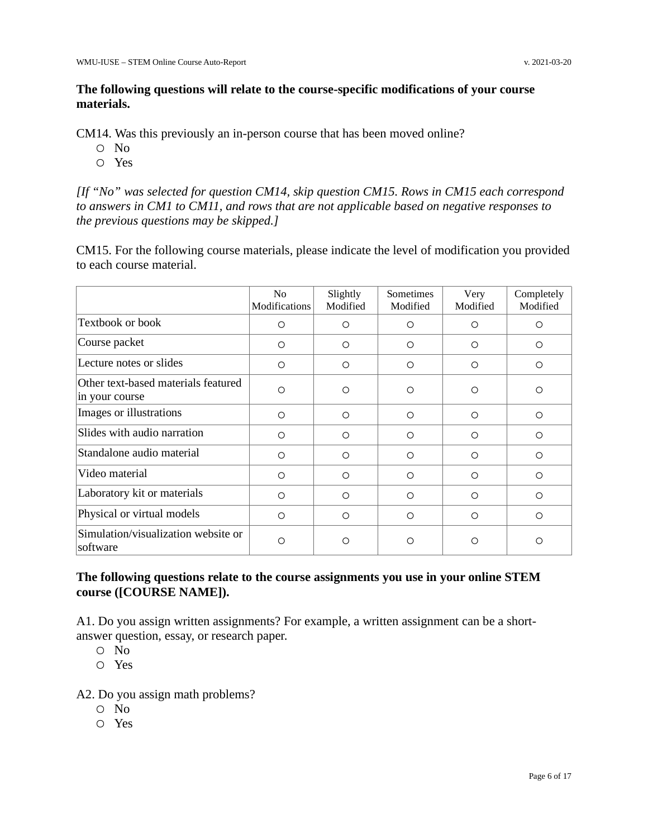#### **The following questions will relate to the course-specific modifications of your course materials.**

CM14. Was this previously an in-person course that has been moved online?

- No
- Yes

*[If "No" was selected for question CM14, skip question CM15. Rows in CM15 each correspond to answers in CM1 to CM11, and rows that are not applicable based on negative responses to the previous questions may be skipped.]*

CM15. For the following course materials, please indicate the level of modification you provided to each course material.

|                                                       | N <sub>0</sub><br>Modifications | Slightly<br>Modified | <b>Sometimes</b><br>Modified | Very<br>Modified | Completely<br>Modified |
|-------------------------------------------------------|---------------------------------|----------------------|------------------------------|------------------|------------------------|
| Textbook or book                                      | O                               | $\Omega$             | $\circ$                      | O                | ◯                      |
| Course packet                                         | O                               | $\circ$              | $\circ$                      | $\circ$          | $\circ$                |
| Lecture notes or slides                               | O                               | $\circ$              | $\circ$                      | $\circ$          | $\circ$                |
| Other text-based materials featured<br>in your course | O                               | $\Omega$             | $\circ$                      | O                | ∩                      |
| Images or illustrations                               | O                               | $\circ$              | $\circ$                      | $\circ$          | $\circ$                |
| Slides with audio narration                           | O                               | ◯                    | $\circ$                      | O                | O                      |
| Standalone audio material                             | O                               | $\Omega$             | $\circ$                      | O                | $\Omega$               |
| Video material                                        | O                               | $\circ$              | $\circ$                      | O                | $\circ$                |
| Laboratory kit or materials                           | $\circ$                         | $\circ$              | $\circ$                      | $\Omega$         | $\Omega$               |
| Physical or virtual models                            | O                               | $\circ$              | $\circ$                      | O                | O                      |
| Simulation/visualization website or<br>software       | Ω                               | ◯                    | $\circ$                      | O                | ◯                      |

#### **The following questions relate to the course assignments you use in your online STEM course ([COURSE NAME]).**

A1. Do you assign written assignments? For example, a written assignment can be a shortanswer question, essay, or research paper.

- No
- Yes

A2. Do you assign math problems?

- No
- Yes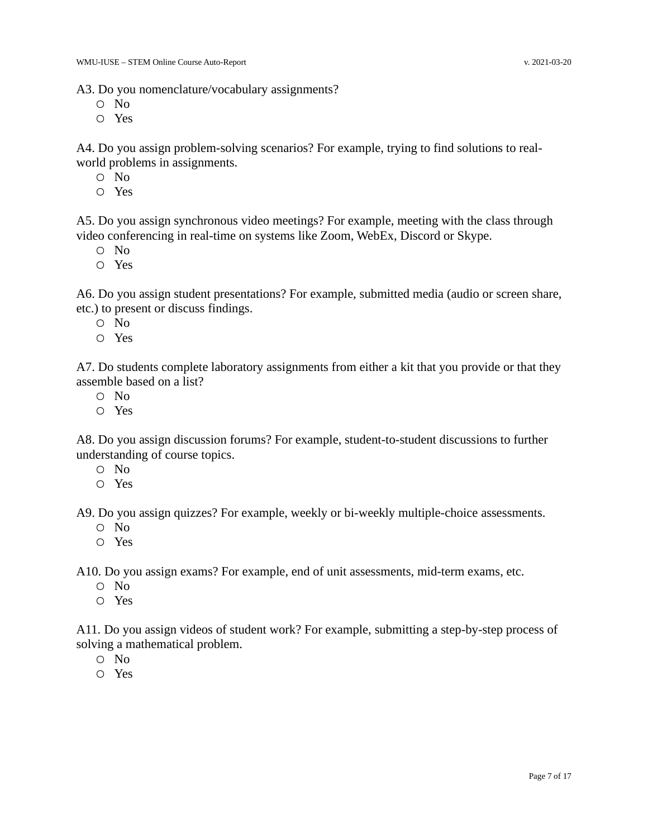A3. Do you nomenclature/vocabulary assignments?

- No
- Yes

A4. Do you assign problem-solving scenarios? For example, trying to find solutions to realworld problems in assignments.

- No
- Yes

A5. Do you assign synchronous video meetings? For example, meeting with the class through video conferencing in real-time on systems like Zoom, WebEx, Discord or Skype.

- No
- Yes

A6. Do you assign student presentations? For example, submitted media (audio or screen share, etc.) to present or discuss findings.

- No
- Yes

A7. Do students complete laboratory assignments from either a kit that you provide or that they assemble based on a list?

- No
- Yes

A8. Do you assign discussion forums? For example, student-to-student discussions to further understanding of course topics.

- No
- Yes

A9. Do you assign quizzes? For example, weekly or bi-weekly multiple-choice assessments.

- No
- Yes

A10. Do you assign exams? For example, end of unit assessments, mid-term exams, etc.

- No
- Yes

A11. Do you assign videos of student work? For example, submitting a step-by-step process of solving a mathematical problem.

- No
- Yes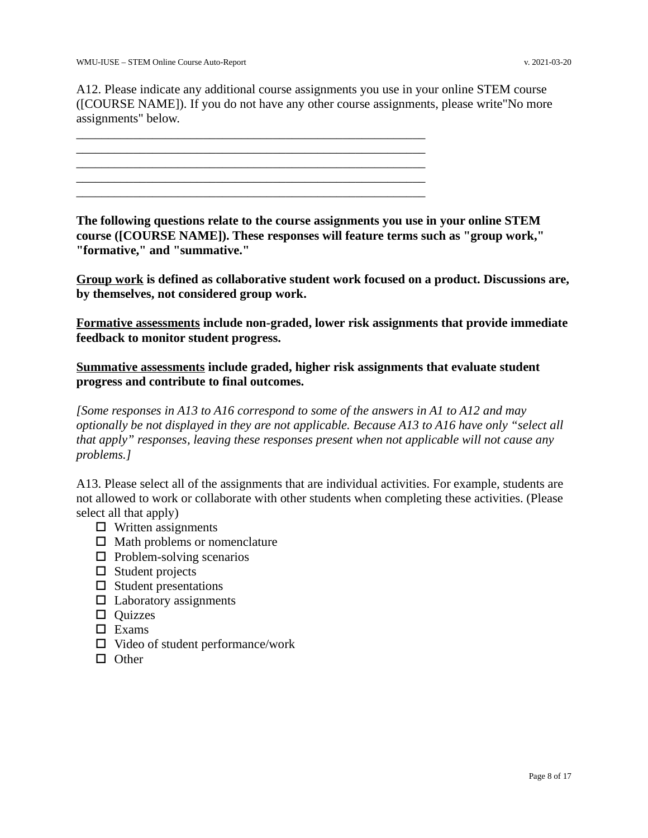A12. Please indicate any additional course assignments you use in your online STEM course ([COURSE NAME]). If you do not have any other course assignments, please write"No more assignments" below.

\_\_\_\_\_\_\_\_\_\_\_\_\_\_\_\_\_\_\_\_\_\_\_\_\_\_\_\_\_\_\_\_\_\_\_\_\_\_\_\_\_\_\_\_\_\_\_\_\_\_\_\_\_\_\_  $\frac{1}{2}$  ,  $\frac{1}{2}$  ,  $\frac{1}{2}$  ,  $\frac{1}{2}$  ,  $\frac{1}{2}$  ,  $\frac{1}{2}$  ,  $\frac{1}{2}$  ,  $\frac{1}{2}$  ,  $\frac{1}{2}$  ,  $\frac{1}{2}$  ,  $\frac{1}{2}$  ,  $\frac{1}{2}$  ,  $\frac{1}{2}$  ,  $\frac{1}{2}$  ,  $\frac{1}{2}$  ,  $\frac{1}{2}$  ,  $\frac{1}{2}$  ,  $\frac{1}{2}$  ,  $\frac{1$ \_\_\_\_\_\_\_\_\_\_\_\_\_\_\_\_\_\_\_\_\_\_\_\_\_\_\_\_\_\_\_\_\_\_\_\_\_\_\_\_\_\_\_\_\_\_\_\_\_\_\_\_\_\_\_ \_\_\_\_\_\_\_\_\_\_\_\_\_\_\_\_\_\_\_\_\_\_\_\_\_\_\_\_\_\_\_\_\_\_\_\_\_\_\_\_\_\_\_\_\_\_\_\_\_\_\_\_\_\_\_ \_\_\_\_\_\_\_\_\_\_\_\_\_\_\_\_\_\_\_\_\_\_\_\_\_\_\_\_\_\_\_\_\_\_\_\_\_\_\_\_\_\_\_\_\_\_\_\_\_\_\_\_\_\_\_

**The following questions relate to the course assignments you use in your online STEM course ([COURSE NAME]). These responses will feature terms such as "group work," "formative," and "summative."** 

**Group work is defined as collaborative student work focused on a product. Discussions are, by themselves, not considered group work.**

**Formative assessments include non-graded, lower risk assignments that provide immediate feedback to monitor student progress.**

**Summative assessments include graded, higher risk assignments that evaluate student progress and contribute to final outcomes.**

*[Some responses in A13 to A16 correspond to some of the answers in A1 to A12 and may optionally be not displayed in they are not applicable. Because A13 to A16 have only "select all that apply" responses, leaving these responses present when not applicable will not cause any problems.]*

A13. Please select all of the assignments that are individual activities. For example, students are not allowed to work or collaborate with other students when completing these activities. (Please select all that apply)

- $\Box$  Written assignments
- $\Box$  Math problems or nomenclature
- $\Box$  Problem-solving scenarios
- □ Student projects
- $\square$  Student presentations
- $\Box$  Laboratory assignments
- □ Quizzes
- □ Exams
- $\Box$  Video of student performance/work
- □ Other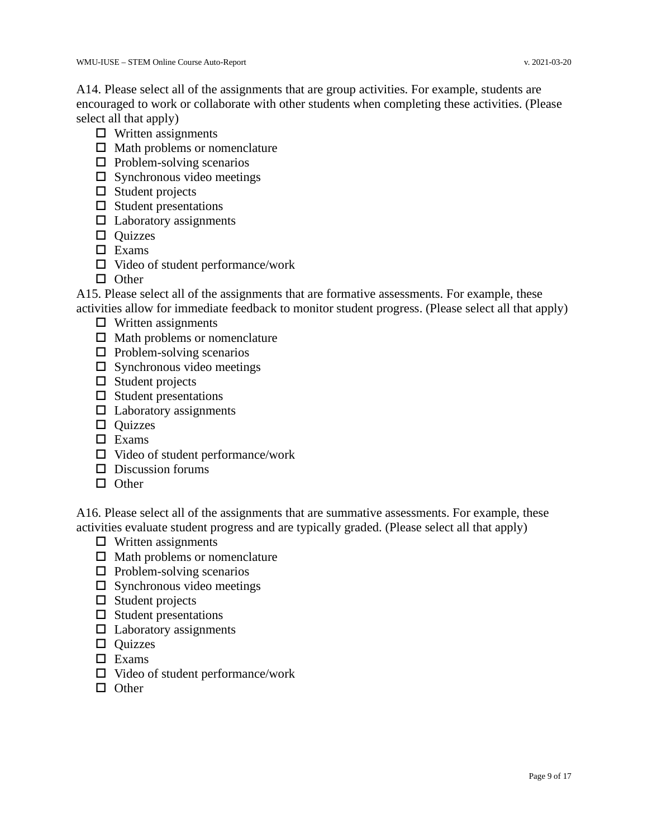A14. Please select all of the assignments that are group activities. For example, students are encouraged to work or collaborate with other students when completing these activities. (Please select all that apply)

- $\Box$  Written assignments
- □ Math problems or nomenclature
- $\Box$  Problem-solving scenarios
- $\Box$  Synchronous video meetings
- $\Box$  Student projects
- $\square$  Student presentations
- $\Box$  Laboratory assignments
- □ Quizzes
- □ Exams
- $\Box$  Video of student performance/work
- □ Other

A15. Please select all of the assignments that are formative assessments. For example, these activities allow for immediate feedback to monitor student progress. (Please select all that apply)

- $\Box$  Written assignments
- $\Box$  Math problems or nomenclature
- $\Box$  Problem-solving scenarios
- $\square$  Synchronous video meetings
- $\Box$  Student projects
- $\square$  Student presentations
- $\Box$  Laboratory assignments
- □ Quizzes
- □ Exams
- □ Video of student performance/work
- □ Discussion forums
- □ Other

A16. Please select all of the assignments that are summative assessments. For example, these activities evaluate student progress and are typically graded. (Please select all that apply)

- $\Box$  Written assignments
- $\Box$  Math problems or nomenclature
- $\Box$  Problem-solving scenarios
- $\Box$  Synchronous video meetings
- $\square$  Student projects
- $\Box$  Student presentations
- $\Box$  Laboratory assignments
- □ Quizzes
- □ Exams
- □ Video of student performance/work
- □ Other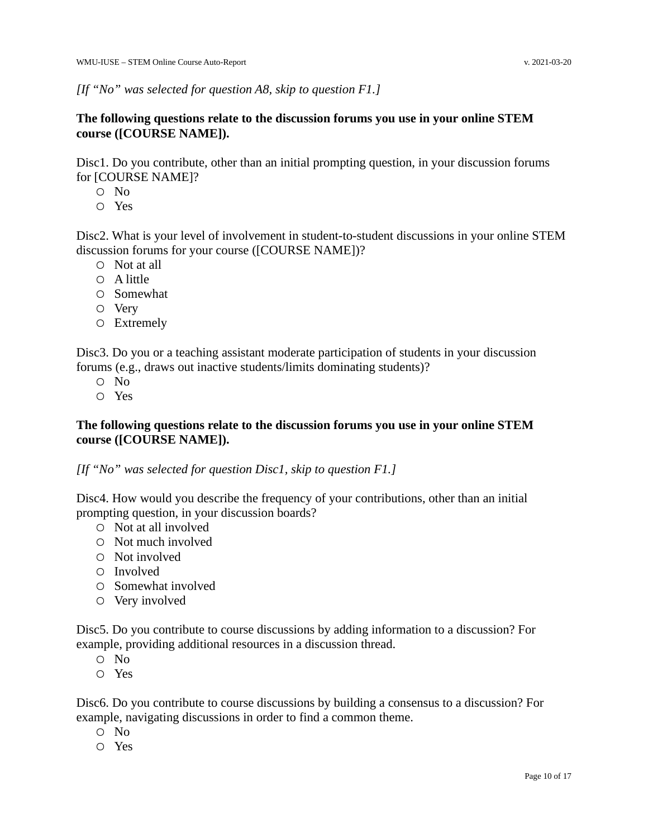#### **The following questions relate to the discussion forums you use in your online STEM course ([COURSE NAME]).**

Disc1. Do you contribute, other than an initial prompting question, in your discussion forums for [COURSE NAME]?

- No
- Yes

Disc2. What is your level of involvement in student-to-student discussions in your online STEM discussion forums for your course ([COURSE NAME])?

- Not at all
- A little
- Somewhat
- Very
- Extremely

Disc3. Do you or a teaching assistant moderate participation of students in your discussion forums (e.g., draws out inactive students/limits dominating students)?

- No
- Yes

#### **The following questions relate to the discussion forums you use in your online STEM course ([COURSE NAME]).**

*[If "No" was selected for question Disc1, skip to question F1.]*

Disc4. How would you describe the frequency of your contributions, other than an initial prompting question, in your discussion boards?

- Not at all involved
- Not much involved
- Not involved
- Involved
- Somewhat involved
- Very involved

Disc5. Do you contribute to course discussions by adding information to a discussion? For example, providing additional resources in a discussion thread.

- No
- Yes

Disc6. Do you contribute to course discussions by building a consensus to a discussion? For example, navigating discussions in order to find a common theme.

- No
- Yes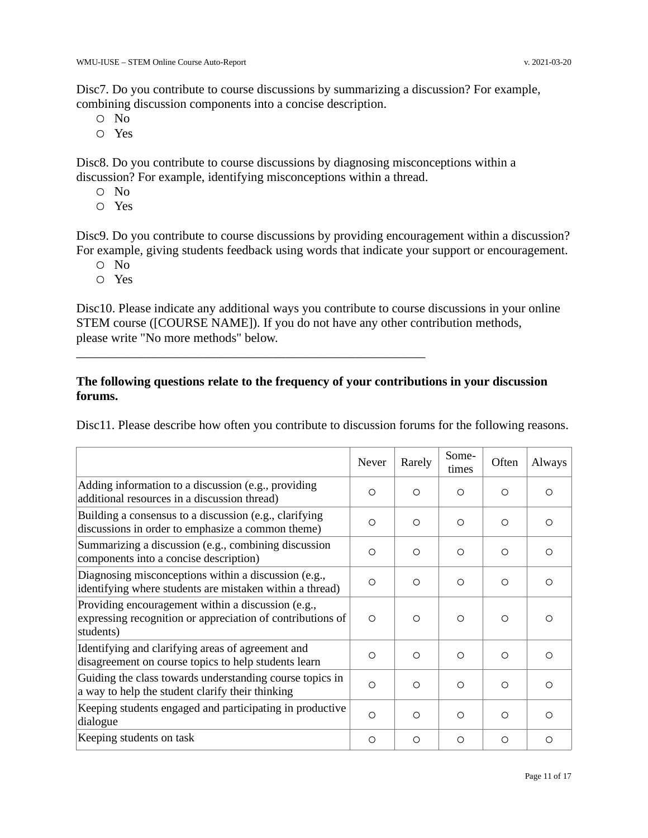Disc7. Do you contribute to course discussions by summarizing a discussion? For example, combining discussion components into a concise description.

- No
- Yes

Disc8. Do you contribute to course discussions by diagnosing misconceptions within a discussion? For example, identifying misconceptions within a thread.

- No
- Yes

Disc9. Do you contribute to course discussions by providing encouragement within a discussion? For example, giving students feedback using words that indicate your support or encouragement.

- No
- Yes

Disc10. Please indicate any additional ways you contribute to course discussions in your online STEM course ([COURSE NAME]). If you do not have any other contribution methods, please write "No more methods" below.

#### **The following questions relate to the frequency of your contributions in your discussion forums.**

\_\_\_\_\_\_\_\_\_\_\_\_\_\_\_\_\_\_\_\_\_\_\_\_\_\_\_\_\_\_\_\_\_\_\_\_\_\_\_\_\_\_\_\_\_\_\_\_\_\_\_\_\_\_\_

Disc11. Please describe how often you contribute to discussion forums for the following reasons.

|                                                                                                                               | Never    | Rarely   | Some-<br>times | Often    | Always     |
|-------------------------------------------------------------------------------------------------------------------------------|----------|----------|----------------|----------|------------|
| Adding information to a discussion (e.g., providing<br>additional resources in a discussion thread)                           | $\Omega$ | $\Omega$ | $\circ$        | $\Omega$ | ∩          |
| Building a consensus to a discussion (e.g., clarifying<br>discussions in order to emphasize a common theme)                   | O        | $\Omega$ | $\circ$        | $\circ$  | $\Omega$   |
| Summarizing a discussion (e.g., combining discussion<br>components into a concise description)                                | O        | $\circ$  | $\circ$        | $\circ$  | $\Omega$   |
| Diagnosing misconceptions within a discussion (e.g.,<br>identifying where students are mistaken within a thread)              | $\circ$  | $\Omega$ | $\circ$        | $\Omega$ | ◯          |
| Providing encouragement within a discussion (e.g.,<br>expressing recognition or appreciation of contributions of<br>students) | $\Omega$ | $\Omega$ | $\circ$        | $\Omega$ | ∩          |
| Identifying and clarifying areas of agreement and<br>disagreement on course topics to help students learn                     | O        | $\circ$  | $\circ$        | $\circ$  | ◯          |
| Guiding the class towards understanding course topics in<br>a way to help the student clarify their thinking                  | $\circ$  | $\Omega$ | $\circ$        | $\Omega$ | $\bigcirc$ |
| Keeping students engaged and participating in productive<br>dialogue                                                          | O        | $\circ$  | $\circ$        | $\circ$  | $\Omega$   |
| Keeping students on task                                                                                                      | O        | $\circ$  | $\circ$        | O        | Ω          |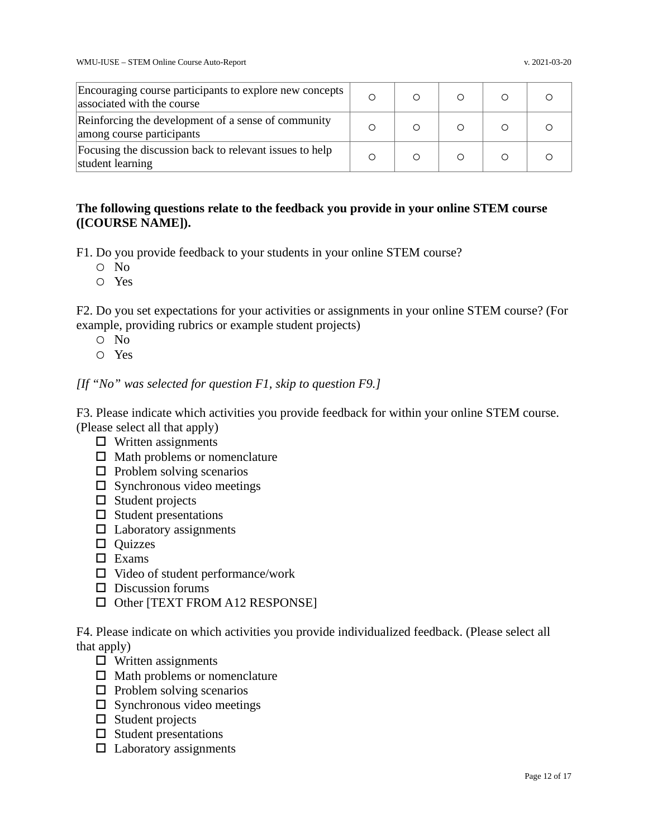| Encouraging course participants to explore new concepts<br>associated with the course | $\circ$ |  |  |
|---------------------------------------------------------------------------------------|---------|--|--|
| Reinforcing the development of a sense of community<br>among course participants      | $\circ$ |  |  |
| Focusing the discussion back to relevant issues to help<br>student learning           | Ω       |  |  |

#### **The following questions relate to the feedback you provide in your online STEM course ([COURSE NAME]).**

F1. Do you provide feedback to your students in your online STEM course?

- No
- Yes

F2. Do you set expectations for your activities or assignments in your online STEM course? (For example, providing rubrics or example student projects)

- No
- Yes

*[If "No" was selected for question F1, skip to question F9.]*

F3. Please indicate which activities you provide feedback for within your online STEM course. (Please select all that apply)

- $\Box$  Written assignments
- $\Box$  Math problems or nomenclature
- $\Box$  Problem solving scenarios
- $\Box$  Synchronous video meetings
- □ Student projects
- $\square$  Student presentations
- $\Box$  Laboratory assignments
- □ Quizzes
- □ Exams
- □ Video of student performance/work
- □ Discussion forums
- □ Other [TEXT FROM A12 RESPONSE]

F4. Please indicate on which activities you provide individualized feedback. (Please select all that apply)

- $\Box$  Written assignments
- $\Box$  Math problems or nomenclature
- $\Box$  Problem solving scenarios
- $\Box$  Synchronous video meetings
- $\Box$  Student projects
- $\Box$  Student presentations
- $\Box$  Laboratory assignments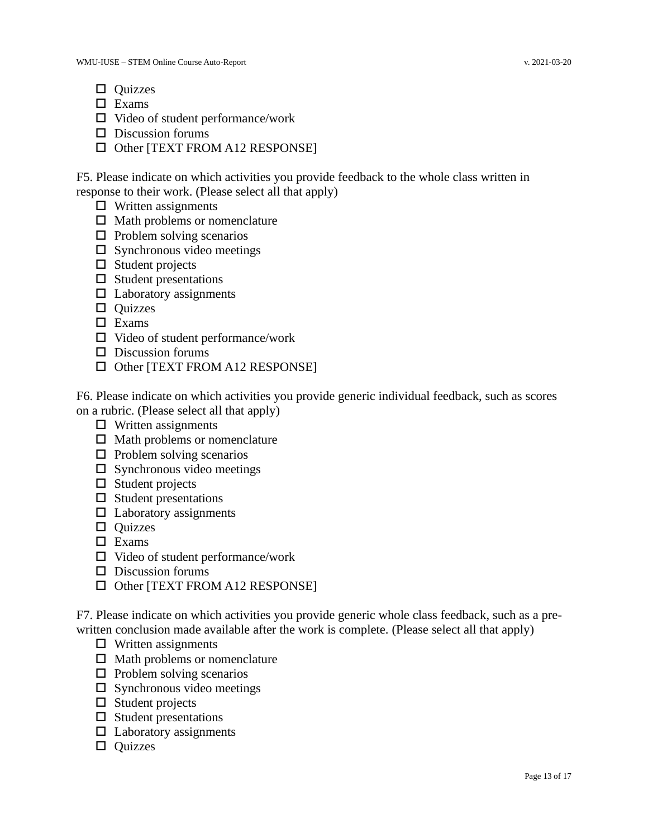- □ Quizzes
- □ Exams
- □ Video of student performance/work
- $\Box$  Discussion forums
- □ Other [TEXT FROM A12 RESPONSE]

F5. Please indicate on which activities you provide feedback to the whole class written in response to their work. (Please select all that apply)

- $\Box$  Written assignments
- □ Math problems or nomenclature
- $\Box$  Problem solving scenarios
- $\Box$  Synchronous video meetings
- □ Student projects
- $\square$  Student presentations
- $\Box$  Laboratory assignments
- □ Quizzes
- □ Exams
- $\Box$  Video of student performance/work
- $\Box$  Discussion forums
- □ Other [TEXT FROM A12 RESPONSE]

F6. Please indicate on which activities you provide generic individual feedback, such as scores on a rubric. (Please select all that apply)

- $\Box$  Written assignments
- $\Box$  Math problems or nomenclature
- $\Box$  Problem solving scenarios
- $\square$  Synchronous video meetings
- $\Box$  Student projects
- $\Box$  Student presentations
- $\Box$  Laboratory assignments
- □ Quizzes
- □ Exams
- $\Box$  Video of student performance/work
- □ Discussion forums
- □ Other [TEXT FROM A12 RESPONSE]

F7. Please indicate on which activities you provide generic whole class feedback, such as a prewritten conclusion made available after the work is complete. (Please select all that apply)

- $\Box$  Written assignments
- □ Math problems or nomenclature
- $\Box$  Problem solving scenarios
- $\square$  Synchronous video meetings
- $\Box$  Student projects
- $\Box$  Student presentations
- $\Box$  Laboratory assignments
- □ Quizzes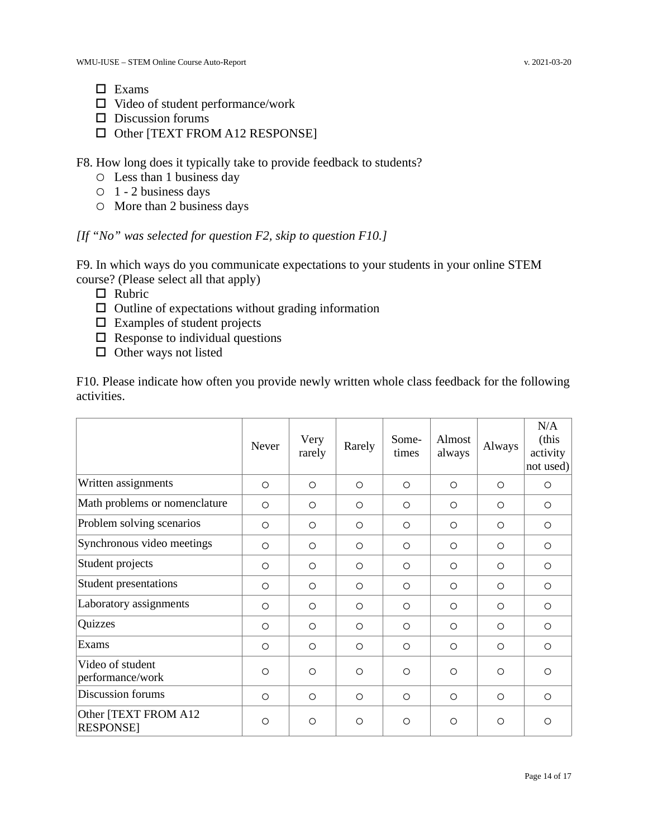- □ Exams
- $\Box$  Video of student performance/work
- □ Discussion forums
- □ Other [TEXT FROM A12 RESPONSE]

F8. How long does it typically take to provide feedback to students?

- Less than 1 business day
- 1 2 business days
- More than 2 business days

*[If "No" was selected for question F2, skip to question F10.]*

F9. In which ways do you communicate expectations to your students in your online STEM course? (Please select all that apply)

- □ Rubric
- $\Box$  Outline of expectations without grading information
- $\Box$  Examples of student projects
- $\Box$  Response to individual questions
- □ Other ways not listed

F10. Please indicate how often you provide newly written whole class feedback for the following activities.

|                                          | <b>Never</b> | Very<br>rarely | Rarely  | Some-<br>times | Almost<br>always | Always  | N/A<br>(this<br>activity<br>not used) |
|------------------------------------------|--------------|----------------|---------|----------------|------------------|---------|---------------------------------------|
| Written assignments                      | $\circ$      | $\circ$        | $\circ$ | $\circ$        | $\circ$          | $\circ$ | $\circ$                               |
| Math problems or nomenclature            | $\circ$      | $\circ$        | $\circ$ | $\circ$        | $\circ$          | $\circ$ | $\circ$                               |
| Problem solving scenarios                | $\circ$      | $\circ$        | $\circ$ | $\circ$        | $\circ$          | $\circ$ | $\circ$                               |
| Synchronous video meetings               | $\circ$      | $\circ$        | $\circ$ | $\circ$        | $\circ$          | $\circ$ | $\circ$                               |
| Student projects                         | $\circ$      | $\circ$        | $\circ$ | $\circ$        | $\circ$          | $\circ$ | $\circ$                               |
| <b>Student presentations</b>             | $\circ$      | $\circ$        | $\circ$ | $\circ$        | $\circ$          | $\circ$ | $\circ$                               |
| Laboratory assignments                   | $\circ$      | $\circ$        | $\circ$ | $\circ$        | $\circ$          | $\circ$ | $\circ$                               |
| Quizzes                                  | $\circ$      | $\circ$        | $\circ$ | $\circ$        | $\circ$          | $\circ$ | $\circ$                               |
| Exams                                    | $\circ$      | $\circ$        | $\circ$ | $\circ$        | $\circ$          | $\circ$ | $\circ$                               |
| Video of student<br>performance/work     | $\circ$      | $\circ$        | $\circ$ | $\circ$        | $\circ$          | $\circ$ | $\circ$                               |
| Discussion forums                        | $\circ$      | $\circ$        | $\circ$ | $\circ$        | $\circ$          | $\circ$ | $\circ$                               |
| Other [TEXT FROM A12<br><b>RESPONSE]</b> | $\circ$      | $\circ$        | $\circ$ | $\circ$        | $\circ$          | $\circ$ | $\circ$                               |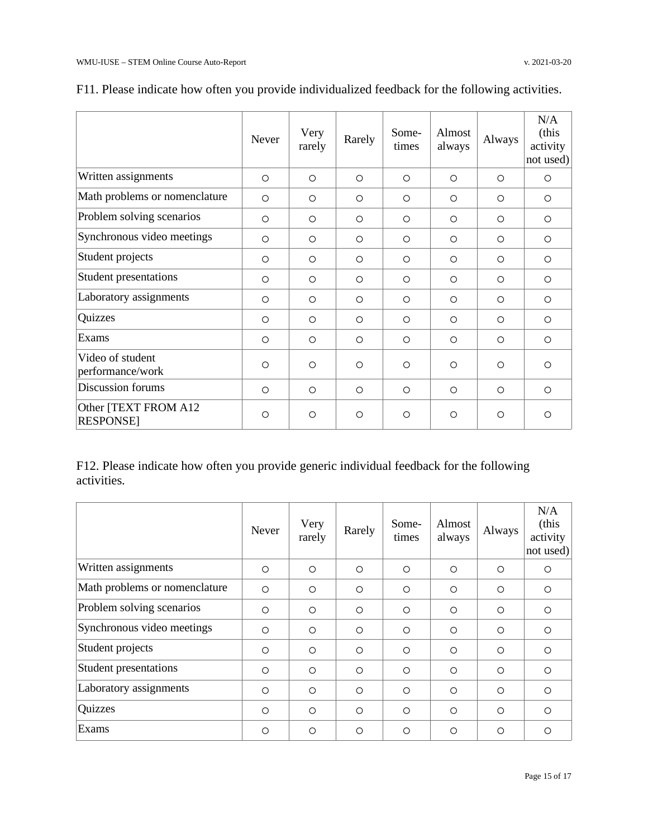|                                          | Never   | Very<br>rarely | Rarely  | Some-<br>times | Almost<br>always | Always  | N/A<br>(this<br>activity<br>not used) |
|------------------------------------------|---------|----------------|---------|----------------|------------------|---------|---------------------------------------|
| Written assignments                      | $\circ$ | $\circ$        | $\circ$ | $\circ$        | $\circ$          | $\circ$ | $\circ$                               |
| Math problems or nomenclature            | $\circ$ | $\circ$        | $\circ$ | $\circ$        | $\circ$          | $\circ$ | $\circ$                               |
| Problem solving scenarios                | $\circ$ | $\circ$        | $\circ$ | $\circ$        | $\circ$          | $\circ$ | $\circ$                               |
| Synchronous video meetings               | $\circ$ | $\circ$        | $\circ$ | $\circ$        | $\circ$          | $\circ$ | $\circ$                               |
| Student projects                         | $\circ$ | $\circ$        | $\circ$ | $\circ$        | $\circ$          | $\circ$ | $\circ$                               |
| <b>Student presentations</b>             | $\circ$ | $\circ$        | $\circ$ | $\circ$        | $\circ$          | $\circ$ | $\circ$                               |
| Laboratory assignments                   | $\circ$ | $\circ$        | $\circ$ | $\circ$        | $\circ$          | $\circ$ | $\circ$                               |
| Quizzes                                  | $\circ$ | $\circ$        | $\circ$ | $\circ$        | $\circ$          | $\circ$ | $\circ$                               |
| Exams                                    | $\circ$ | $\circ$        | $\circ$ | $\circ$        | $\circ$          | $\circ$ | $\circ$                               |
| Video of student<br>performance/work     | $\circ$ | $\circ$        | $\circ$ | $\circ$        | $\circ$          | $\circ$ | $\circ$                               |
| Discussion forums                        | $\circ$ | $\circ$        | $\circ$ | $\circ$        | $\circ$          | $\circ$ | $\circ$                               |
| Other [TEXT FROM A12<br><b>RESPONSE]</b> | $\circ$ | $\circ$        | $\circ$ | $\circ$        | $\circ$          | $\circ$ | $\circ$                               |

### F11. Please indicate how often you provide individualized feedback for the following activities.

F12. Please indicate how often you provide generic individual feedback for the following activities.

|                               | <b>Never</b> | Very<br>rarely | Rarely  | Some-<br>times | Almost<br>always | Always  | N/A<br>(this<br>activity<br>not used) |
|-------------------------------|--------------|----------------|---------|----------------|------------------|---------|---------------------------------------|
| Written assignments           | $\circ$      | $\circ$        | $\circ$ | $\circ$        | $\circ$          | $\circ$ | $\circ$                               |
| Math problems or nomenclature | $\circ$      | $\circ$        | $\circ$ | $\circ$        | $\circ$          | $\circ$ | $\circ$                               |
| Problem solving scenarios     | $\circ$      | $\circ$        | $\circ$ | $\circ$        | $\circ$          | $\circ$ | $\circ$                               |
| Synchronous video meetings    | $\circ$      | $\circ$        | $\circ$ | $\circ$        | $\circ$          | $\circ$ | $\circ$                               |
| Student projects              | $\circ$      | $\circ$        | $\circ$ | $\circ$        | $\circ$          | $\circ$ | $\circ$                               |
| <b>Student presentations</b>  | $\circ$      | $\Omega$       | $\circ$ | $\circ$        | $\Omega$         | $\circ$ | $\Omega$                              |
| Laboratory assignments        | $\circ$      | $\circ$        | $\circ$ | $\circ$        | $\circ$          | $\circ$ | $\circ$                               |
| Quizzes                       | $\circ$      | $\circ$        | $\circ$ | $\circ$        | $\circ$          | $\circ$ | $\Omega$                              |
| Exams                         | $\circ$      | $\circ$        | $\circ$ | $\circ$        | $\circ$          | $\circ$ | $\circ$                               |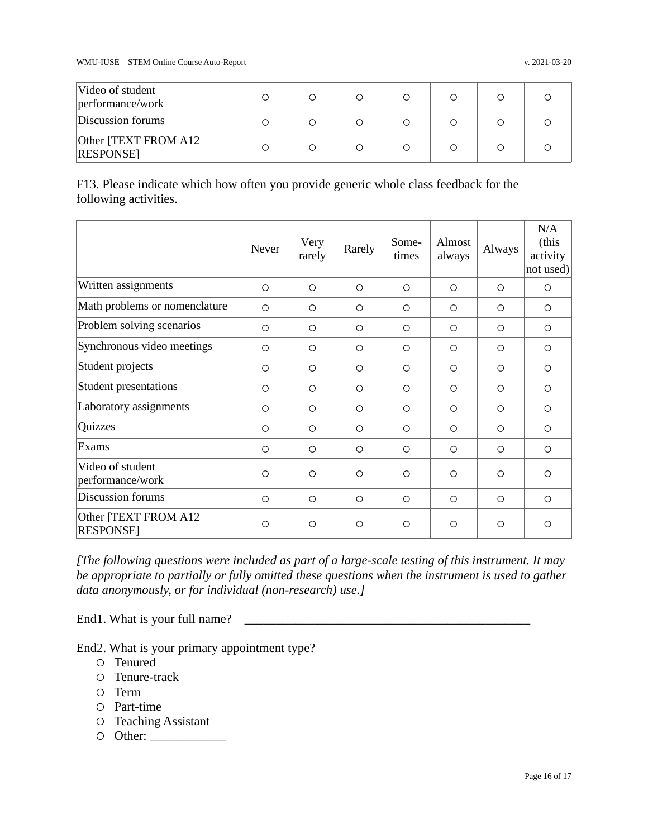| Video of student<br>performance/work     |  |  |  |  |
|------------------------------------------|--|--|--|--|
| Discussion forums                        |  |  |  |  |
| Other [TEXT FROM A12]<br><b>RESPONSE</b> |  |  |  |  |

F13. Please indicate which how often you provide generic whole class feedback for the following activities.

|                                          | Never   | Very<br>rarely | Rarely  | Some-<br>times | Almost<br>always | Always  | N/A<br>(this<br>activity<br>not used) |
|------------------------------------------|---------|----------------|---------|----------------|------------------|---------|---------------------------------------|
| Written assignments                      | $\circ$ | $\circ$        | $\circ$ | $\circ$        | $\circ$          | $\circ$ | $\circ$                               |
| Math problems or nomenclature            | $\circ$ | $\circ$        | $\circ$ | $\circ$        | $\circ$          | $\circ$ | $\circ$                               |
| Problem solving scenarios                | $\circ$ | $\circ$        | $\circ$ | $\circ$        | $\circ$          | $\circ$ | $\circ$                               |
| Synchronous video meetings               | $\circ$ | $\circ$        | $\circ$ | $\circ$        | $\circ$          | $\circ$ | $\circ$                               |
| Student projects                         | $\circ$ | $\Omega$       | $\circ$ | $\circ$        | $\circ$          | $\circ$ | $\circ$                               |
| <b>Student presentations</b>             | $\circ$ | $\circ$        | $\circ$ | $\circ$        | $\circ$          | $\circ$ | $\circ$                               |
| Laboratory assignments                   | $\circ$ | $\circ$        | $\circ$ | $\circ$        | $\circ$          | $\circ$ | $\circ$                               |
| Quizzes                                  | $\circ$ | $\circ$        | $\circ$ | $\circ$        | $\circ$          | $\circ$ | $\circ$                               |
| Exams                                    | $\circ$ | $\circ$        | $\circ$ | $\circ$        | $\circ$          | $\circ$ | $\circ$                               |
| Video of student<br>performance/work     | $\circ$ | $\circ$        | $\circ$ | $\circ$        | $\circ$          | $\circ$ | $\circ$                               |
| Discussion forums                        | $\circ$ | $\circ$        | $\circ$ | $\circ$        | $\circ$          | $\circ$ | $\circ$                               |
| Other [TEXT FROM A12<br><b>RESPONSE]</b> | $\circ$ | $\circ$        | $\circ$ | $\circ$        | O                | $\circ$ | $\circ$                               |

*[The following questions were included as part of a large-scale testing of this instrument. It may be appropriate to partially or fully omitted these questions when the instrument is used to gather data anonymously, or for individual (non-research) use.]*

End1. What is your full name?  $\Box$ 

End2. What is your primary appointment type?

- Tenured
- Tenure-track
- Term
- Part-time
- Teaching Assistant
- Other: \_\_\_\_\_\_\_\_\_\_\_\_